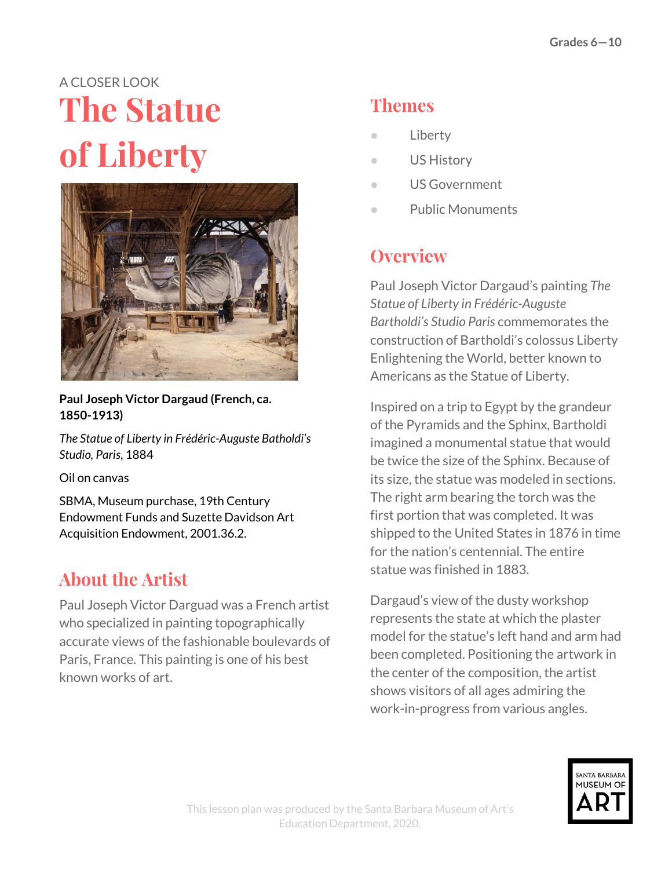# A CLOSER LOOK **The Statue of Liberty**



**Paul Joseph Victor Dargaud (French, ca. 1850-1913)**

*The Statue of Liberty in Frédéric-Auguste Batholdi's Studio, Paris*, 1884

Oil on canvas

SBMA, Museum purchase, 19th Century Endowment Funds and Suzette Davidson Art Acquisition Endowment, 2001.36.2.

## **About the Artist**

Paul Joseph Victor Darguad was a French artist who specialized in painting topographically accurate views of the fashionable boulevards of Paris, France. This painting is one of his best known works of art.

## **Themes**

- **Liberty**
- US History
- US Government
- Public Monuments

## **Overview**

Paul Joseph Victor Dargaud's painting *The Statue of Liberty in Frédéric-Auguste Bartholdi's Studio Paris* commemorates the construction of Bartholdi's colossus Liberty Enlightening the World, better known to Americans as the Statue of Liberty.

Inspired on a trip to Egypt by the grandeur of the Pyramids and the Sphinx, Bartholdi imagined a monumental statue that would be twice the size of the Sphinx. Because of its size, the statue was modeled in sections. The right arm bearing the torch was the first portion that was completed. It was shipped to the United States in 1876 in time for the nation's centennial. The entire statue was finished in 1883.

Dargaud's view of the dusty workshop represents the state at which the plaster model for the statue's left hand and arm had been completed. Positioning the artwork in the center of the composition, the artist shows visitors of all ages admiring the work-in-progress from various angles.

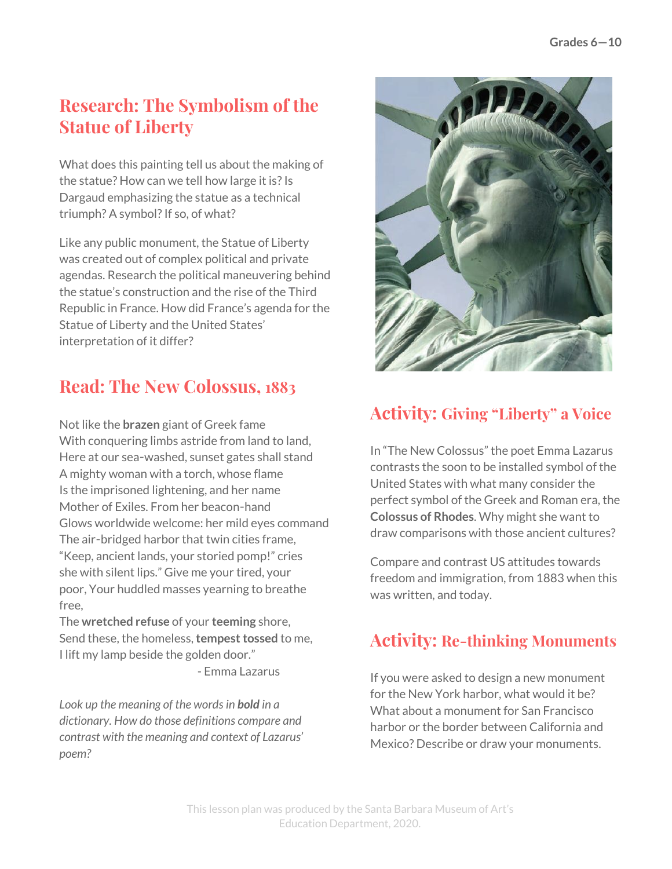### **Research: The Symbolism of the Statue of Liberty**

What does this painting tell us about the making of the statue? How can we tell how large it is? Is Dargaud emphasizing the statue as a technical triumph? A symbol? If so, of what?

Like any public monument, the Statue of Liberty was created out of complex political and private agendas. Research the political maneuvering behind the statue's construction and the rise of the Third Republic in France. How did France's agenda for the Statue of Liberty and the United States' interpretation of it differ?

### **Read: The New Colossus, 1883**

Not like the **brazen** giant of Greek fame With conquering limbs astride from land to land, Here at our sea-washed, sunset gates shall stand A mighty woman with a torch, whose flame Is the imprisoned lightening, and her name Mother of Exiles. From her beacon-hand Glows worldwide welcome: her mild eyes command The air-bridged harbor that twin cities frame, "Keep, ancient lands, your storied pomp!" cries she with silent lips." Give me your tired, your poor, Your huddled masses yearning to breathe free,

The **wretched refuse** of your **teeming** shore, Send these, the homeless, **tempest tossed** to me, I lift my lamp beside the golden door."

- Emma Lazarus

*Look up the meaning of the wordsin bold in a dictionary. How do those definitions compare and contrast with the meaning and context of Lazarus' poem?*



### **Activity: Giving "Liberty" a Voice**

In "The New Colossus" the poet Emma Lazarus contrasts the soon to be installed symbol of the United States with what many consider the perfect symbol of the Greek and Roman era, the **Colossus of Rhodes**. Why might she want to draw comparisons with those ancient cultures?

Compare and contrast US attitudes towards freedom and immigration, from 1883 when this was written, and today.

#### **Activity: Re-thinking Monuments**

If you were asked to design a new monument for the New York harbor, what would it be? What about a monument for San Francisco harbor or the border between California and Mexico? Describe or draw your monuments.